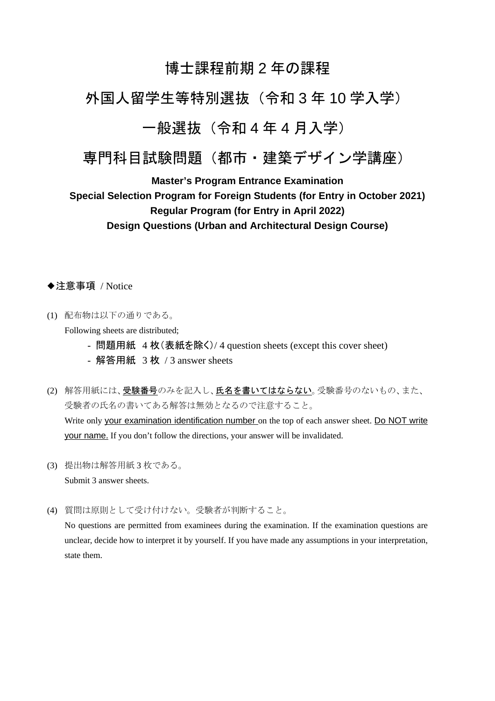# 博士課程前期 2 年の課程

# 外国人留学生等特別選抜(令和 3 年 10 学入学)

# 一般選抜(令和 4 年 4 月入学)

# 専門科目試験問題(都市・建築デザイン学講座)

**Master's Program Entrance Examination** 

# **Special Selection Program for Foreign Students (for Entry in October 2021) Regular Program (for Entry in April 2022) Design Questions (Urban and Architectural Design Course)**

◆注意事項 / Notice

(1) 配布物は以下の通りである。

Following sheets are distributed;

- 問題用紙 4 枚(表紙を除く)/ 4 question sheets (except this cover sheet)
- 解答用紙 3 枚 / 3 answer sheets
- (2) 解答用紙には、受験番号のみを記入し、氏名を書いてはならない。受験番号のないもの、また、 受験者の氏名の書いてある解答は無効となるので注意すること。 Write only your examination identification number on the top of each answer sheet. Do NOT write your name. If you don't follow the directions, your answer will be invalidated.
- (3) 提出物は解答用紙 3 枚である。 Submit 3 answer sheets.

(4) 質問は原則として受け付けない。受験者が判断すること。

No questions are permitted from examinees during the examination. If the examination questions are unclear, decide how to interpret it by yourself. If you have made any assumptions in your interpretation, state them.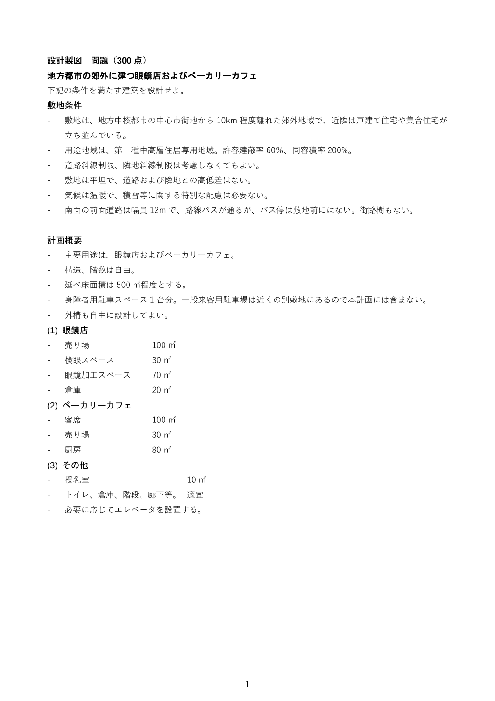#### **設計製図 問題(300 点)**

#### 地方都市の郊外に建つ眼鏡店およびべーカリーカフェ

下記の条件を満たす建築を設計せよ。

#### 敷地条件

- 敷地は、地方中核都市の中心市街地から 10km 程度離れた郊外地域で、近隣は戸建て住宅や集合住宅が 立ち並んでいる。
- 用途地域は、第一種中高層住居専用地域。許容建蔽率 60%、同容積率 200%。
- 道路斜線制限、隣地斜線制限は考慮しなくてもよい。
- 敷地は平坦で、道路および隣地との高低差はない。
- 気候は温暖で、積雪等に関する特別な配慮は必要ない。
- 南面の前面道路は幅員 12m で、路線バスが通るが、バス停は敷地前にはない。街路樹もない。

#### 計画概要

- 主要用途は、眼鏡店およびベーカリーカフェ。
- 構造、階数は自由。
- 延べ床面積は 500 ㎡程度とする。
- 身障者用駐車スペース 1 台分。一般来客用駐車場は近くの別敷地にあるので本計画には含まない。
- 外構も自由に設計してよい。

#### (1) 眼鏡店

- 売り場 100 ㎡
- 検眼スペース 30 ㎡
- 眼鏡加工スペース 70 ㎡
- 倉庫 20 ㎡
- (2) ベーカリーカフェ
- **客席 インタン 100 ㎡**
- 売り場 30 ㎡
- 厨房 80 ㎡
- (3) その他
- 授乳室 10 m<sup>2</sup>
- トイレ、倉庫、階段、廊下等。 適宜
- 必要に応じてエレベータを設置する。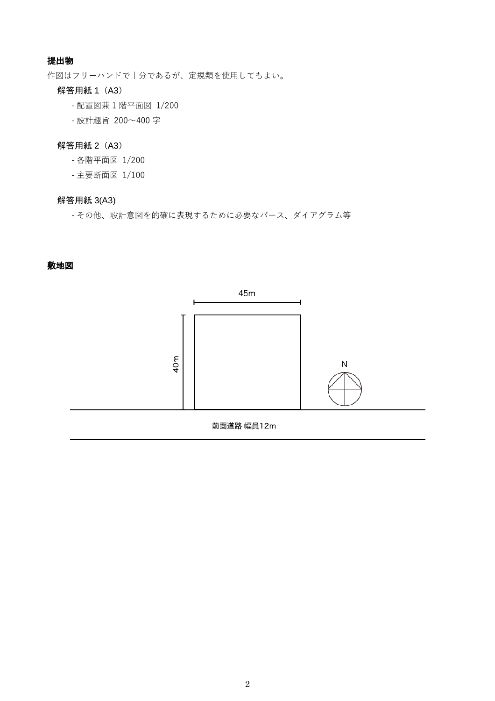# 提出物

作図はフリーハンドで十分であるが、定規類を使用してもよい。

## 解答用紙 1 (A3)

- 配置図兼 1 階平面図 1/200
- 設計趣旨 200~400 字

#### 解答用紙 2 (A3)

- 各階平面図 1/200
- 主要断面図 1/100

# 解答用紙 3(A3)

- その他、設計意図を的確に表現するために必要なパース、ダイアグラム等

#### 敷地図

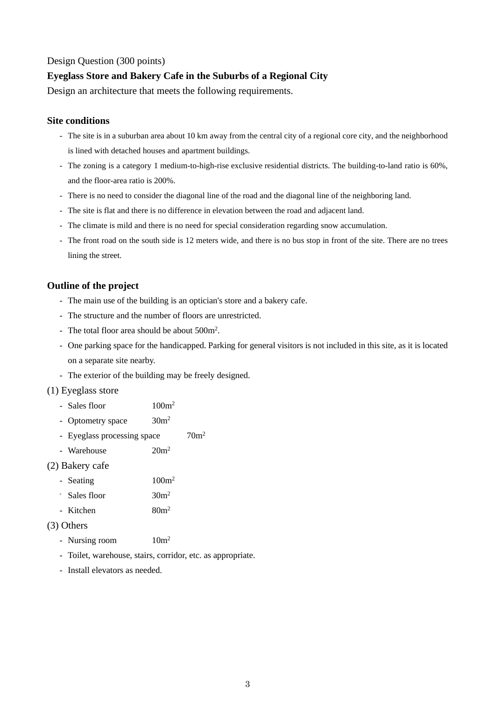## Design Question (300 points)

# **Eyeglass Store and Bakery Cafe in the Suburbs of a Regional City**

Design an architecture that meets the following requirements.

## **Site conditions**

- The site is in a suburban area about 10 km away from the central city of a regional core city, and the neighborhood is lined with detached houses and apartment buildings.
- The zoning is a category 1 medium-to-high-rise exclusive residential districts. The building-to-land ratio is 60%, and the floor-area ratio is 200%.
- There is no need to consider the diagonal line of the road and the diagonal line of the neighboring land.
- The site is flat and there is no difference in elevation between the road and adjacent land.
- The climate is mild and there is no need for special consideration regarding snow accumulation.
- The front road on the south side is 12 meters wide, and there is no bus stop in front of the site. There are no trees lining the street.

## **Outline of the project**

- The main use of the building is an optician's store and a bakery cafe.
- The structure and the number of floors are unrestricted.
- The total floor area should be about  $500m^2$ .
- One parking space for the handicapped. Parking for general visitors is not included in this site, as it is located on a separate site nearby.
- The exterior of the building may be freely designed.

#### (1) Eyeglass store

- Sales floor 100m<sup>2</sup>
- Optometry space  $30m^2$
- Eyeglass processing space  $70m^2$
- Warehouse 20m<sup>2</sup>

#### (2) Bakery cafe

- Seating 100m<sup>2</sup>
- Sales floor 30m<sup>2</sup>
- Kitchen 80m<sup>2</sup>

#### (3) Others

- Nursing room  $10m^2$
- Toilet, warehouse, stairs, corridor, etc. as appropriate.
- Install elevators as needed.